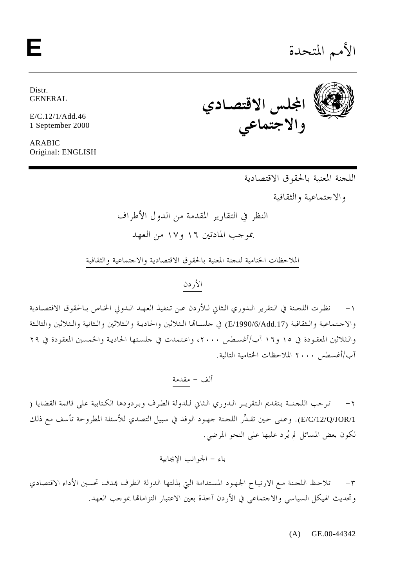الأمم المتحدة

Distr. **GENERAL** 

 $E/C.12/1/Add.46$ 1 September 2000

ARABIC Original: ENGLISH



اللجنة المعنية بالحقوق الاقتصادية

والاجتماعية والثقافية

الملاحظات الختامية للحنة المعنية بالحقوق الاقتصادية والاحتماعية والثقافية

الأردن

نظرت اللجنة في التقرير الدوري الثاني للأردن عن تنفيذ العهد الدولي الخاص بـالحقوق الاقتصادية  $-1$ والاجتماعية والـثقافية (E/1990/6/Add.17) في جلسـالها الـثلاثين والحاديـة والـثلاثين والـثانية والـثلاثين والثالـثة والثلاثين المعقودة في ١٥ و١٦ آب/أغسطس ٢٠٠٠، واعتمدت في حلستها الحادية والخمسين المعقودة في ٢٩ آب/أغسطس ٢٠٠٠ الملاحظات الختامية التالية.

ترحب اللجنــة بتقديم الـتقريـر الـدوري الـثاني لـلدولة الطرف وبردودها الكـتابية على قائمة القضايا (  $-\tau$ E/C/12/Q/JOR/1). وعلى حين تقدِّر اللجنة جهود الوفد في سبيل التصدي للأسئلة المطروحة تأسف مع ذلك لكون بعض المسائل لم يُرد عليها على النحو المرضى.

تلاحظ اللحنة مع الارتياح الجهود المستدامة التي بذلتها الدولة الطرف بمدف تحسين الأداء الاقتصادي  $-\tau$ وتحديث الهيكل السياسي والاحتماعي في الأردن آحذة بعين الاعتبار التزامالها بموحب العهد.

 $(A)$  GE.00-44342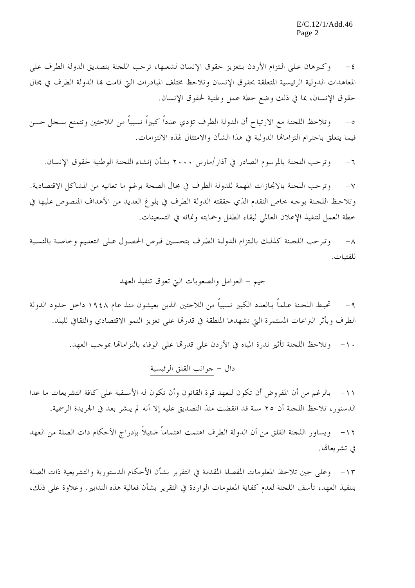وكبرهان على التزام الأردن بتعزيز حقوق الإنسان لشعبها، ترحب اللحنة بتصديق الدولة الطرف على  $-\xi$ المعاهدات الدولية الرئيسية المتعلقة بحقوق الإنسان وتلاحظ مختلف المبادرات التي قامت بما الدولة الطرف في مجال حقوق الإنسان، بما في ذلك وضع خطة عمل وطنية لحقوق الإنسان.

وتلاحظ اللجنة مع الارتياح أن الدولة الطرف تؤدي عدداً كبيراً نسبياً من اللاجئين وتتمتع بسجل حسن  $-\circ$ فيما يتعلق باحترام التزاماقما الدولية في هذا الشأن والامتثال لهذه الالتزامات.

وترحب اللجنة بالمرسوم الصادر في آذار/مارس ٢٠٠٠ بشأن إنشاء اللجنة الوطنية لحقوق الإنسان.  $-7$ 

وترحب اللجنة بالانجازات المهمة للدولة الطرف في مجال الصحة برغم ما تعانيه من المشاكل الاقتصادية.  $-\gamma$ وتلاحظ اللحنة بوحه حاص التقدم الذي حققته الدولة الطرف في بلوغ العديد من الأهداف المنصوص عليها في خطة العمل لتنفيذ الإعلان العالمي لبقاء الطفل وحمايته ونمائه في التسعينات.

وترحب اللجنة كذلك بالتزام الدولة الطرف بتحسين فرص الحصول على التعليم وحاصة بالنسبة  $-\Lambda$ للفتيات.

## جيم – العوامل والصعوبات التي تعوق تنفيذ العهد

تحيط اللجنة عـلماً بـالعدد الكبير نسبياً من اللاحئين الذين يعيشون منذ عام ١٩٤٨ داخل حدود الدولة  $-9$ الطرف وبأثر التراعات المستمرة التي تشهدها المنطقة في قدرها على تعزيز النمو الاقتصادي والثقافي للبلد.

١٠- وتلاحظ اللجنة تأثير ندرة المياه في الأردن على قدرها على الوفاء بالتزامالها بموجب العهد.

١١ – بالرغم من أن المفروض أن تكون للعهد قوة القانون وأن تكون له الأسبقية على كافة التشريعات ما عدا الدستور، تلاحظ اللجنة أن ٢٥ سنة قد انقضت منذ التصديق عليه إلا أنه لم ينشر بعد في الجريدة الرسمية.

١٢ – ويساور اللجنة القلق من أن الدولة الطرف اهتمت اهتماماً ضئيلاً بإدراج الأحكام ذات الصلة من العهد في تشريعالها.

١٣ – وعلى حين تلاحظ المعلومات المفصلة المقدمة في التقرير بشأن الأحكام الدستورية والتشريعية ذات الصلة بتنفيذ العهد، تأسف اللجنة لعدم كفاية المعلومات الواردة في التقرير بشأن فعالية هذه التدابير . وعلاوة على ذلك،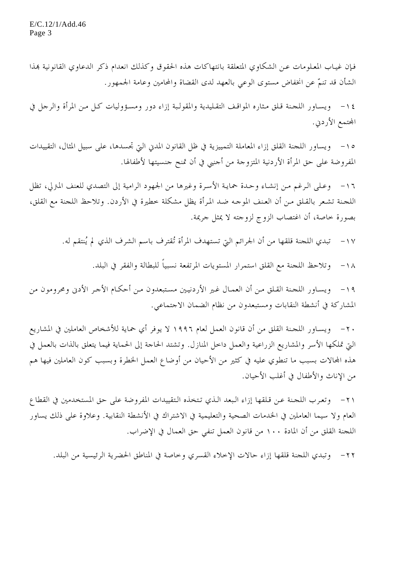فإن غيـاب المعـلومات عـن الشكاوي المتعلقة بانتهاكات هذه الحقوق وكذلك انعدام ذكر الدعاوي القانونية بمذا الشأن قد تنمُّ عن انخفاض مستوى الوعي بالعهد لدى القضاة والمحامين وعامة الجمهور.

١٤ - ويساور اللجنة قلق مثاره المواقف التقليدية والمقولبة إزاء دور ومسؤوليات كل من المرأة والرجل في المحتمع الأردني.

١٥ – ويساور اللحنة القلق إزاء المعاملة التمييزية في ظل القانون المدني التي تجسدها، على سبيل المثال، التقييدات المفروضة على حق المرأة الأردنية المتزوجة من أحنبي في أن تمنح جنسيتها لأطفالها.

١٦ - وعـلى الـرغم مـن إنشـاء وحـدة حمايـة الأسـرة وغيرهـا من الجـهود الرامية إلى التصدي للعنف المترلي، تظل اللجنة تشعر بالقـلق مـن أن العـنف الموجـه ضـد المرأة يظل مشكلة خطيرة في الأردن. وتلاحظ اللجنة مع القلق، بصورة حاصة، أن اغتصاب الزوج لزوجته لا يمثل جريمة.

> تبدي اللجنة قلقها من أن الجرائم التي تستهدف المرأة تُقترف باسم الشرف الذي لم يُنتقم له.  $-1V$

> > وتلاحظ اللجنة مع القلق استمرار المستويات المرتفعة نسبياً للبطالة والفقر في البلد.  $-1<sub>\lambda</sub>$

١٩ - ويساور اللجنة القلق من أن العمال غير الأردنيين مستبعدون من أحكام الأجر الأدنى ومحرومون من المشاركة في أنشطة النقابات ومستبعدون من نظام الضمان الاجتماعي.

٢٠ – ويسـاور اللجـنة القلق من أن قانون العمل لعام ١٩٩٦ لا يوفر أي حماية للأشخاص العاملين في المشاريع الَّتِي تملكها الأسر والمشاريع الزراعية والعمل داخل المنازل. وتشتد الحاحة إلى الحماية فيما يتعلق بالذات بالعمل في هذه المحالات بسبب ما تنطوي عليه في كثير من الأحيان من أوضاع العمل الخطرة وبسبب كون العاملين فيها هم من الإناث والأطفال في أغلب الأحيان.

٢١- وتعرب اللجنة عن قلقها إزاء البعد الذي تتخذه التقييدات المفروضة على حق المستخدمين في القطاع العام ولا سيما العاملين في الخدمات الصحية والتعليمية في الاشتراك في الأنشطة النقابية. وعلاوة على ذلك يساور اللجنة القلق من أن المادة ١٠٠ من قانون العمل تنفي حق العمال في الإضراب.

٢٢ - وتبدى اللجنة قلقها إزاء حالات الإحلاء القسرى وخاصة في المناطق الحضرية الرئيسية من البلد.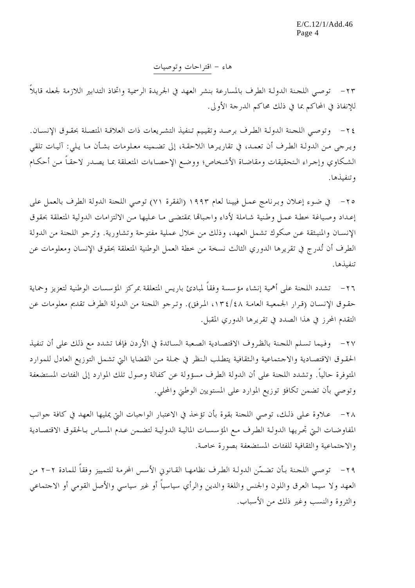هاء – اقتراحات وتوصيات

٢٣ – توصى اللجنة الدولـة الطرف بالمسارعة بنشر العهد في الجريدة الرسمية واتخاذ التدابير اللازمة لجعله قابلاً للإنفاذ في المحاكم بما في ذلك محاكم الدرجة الأولى.

٢٤ - وتوصى اللحنة الدولة الطرف برصد وتقييم تنفيذ التشريعات ذات العلاقة المتصلة بحقوق الإنسـان. ويرجى من الدولـة الطرف أن تعمـد، في تقاريرها اللاحقـة، إلى تضـمينه معـلومات بشـأن مـا يـلي: آليـات تلقي الشكاوي وإجراء التحقيقات ومقاضاة الأشخاص؛ ووضع الإحصاءات المتعلقة بما يصدر لاحقاً من أحكام وتنفيذها.

٢٥ - في ضوء إعلان وبرنامج عمل فيينا لعام ١٩٩٣ (الفقرة ٧١) توصى اللجنة الدولة الطرف بالعمل على إعداد وصياغة حطة عمل وطنية شاملة لأداء واحباقما بمقتضى مبا عبليها من الالتزامات الدولية المتعلقة بحقوق الإنسـان والمنبـثقة عـن صكوك تشمل العهد، وذلك من حلال عملية مفتوحة وتشاورية. وترجو اللجنة من الدولة الطرف أن تُدرج في تقريرها الدوري الثالث نسخة من خطة العمل الوطنية المتعلقة بحقوق الإنسان ومعلومات عن تنفىذها.

٢٦ – تشدد اللجنة على أهمية إنشاء مؤسسة وفقاً لمبادئ باريس المتعلقة بمركز المؤسسات الوطنية لتعزيز وحماية حقوق الإنسـان (قرار الجمعيـة العامـة ١٣٤/٤٨، المرفق). وترجو اللجنة من الدولة الطرف تقديم معلومات عن التقدم المحرز في هذا الصدد في تقريرها الدوري المقبل.

٢٧- وفيما تسلم اللحنة بالظروف الاقتصادية الصعبة السائدة في الأردن فإلها تشدد مع ذلك على أن تنفيذ الحقوق الاقتصادية والاحتماعية والثقافية يتطلب النظر في جملة من القضايا التي تشمل التوزيع العادل للموارد المتوفرة حالياً. وتشدد اللجنة على أن الدولة الطرف مسؤولة عن كفالة وصول تلك الموارد إلى الفئات المستضعفة وتوصى بأن تضمن تكافؤ توزيع الموارد على المستويين الوطني والمحلى.

٢٨ - عـلاوة عـلى ذلك، توصى اللجنة بقوة بأن تؤخذ في الاعتبار الواجبات التي يمليها العهد في كافة جوانب المفاوضات الـتي تحريها الدولـة الطرف مـع المؤسسـات الماليـة الدوليـة لتضـمن عـدم المسـاس بـالحقوق الاقتصـادية والاجتماعية والثقافية للفئات المستضعفة بصورة حاصة.

٢٩ - توصى اللحنة بأن تضمّن الدولة الطرف نظامهـا القـانوني الأسس الحرمة للتمييز وفقاً للمادة ٢-٢ من العهد ولا سيما العرق واللون والجنس واللغة والدين والرأي سياسياً أو غير سياسي والأصل القومي أو الاجتماعي والثروة والنسب وغير ذلك من الأسباب.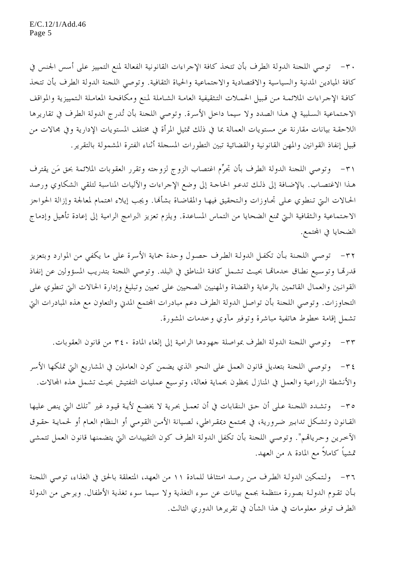٣٠ – توصى اللجنة الدولة الطرف بأن تتخذ كافة الإجراءات القانونية الفعالة لمنع التمييز على أسس الجنس في كافة الميادين المدنية والسياسية والاقتصادية والاحتماعية والحياة الثقافية. وتوصى اللجنة الدولة الطرف بأن تتخذ كافة الإجراءات الملائمة من قبيل الحملات التثقيفية العامة الشاملة لمنع ومكافحة المعاملة التمييزية والمواقف الاجتماعية السلبية في هذا الصدد ولا سيما داحل الأسرة. وتوصى اللحنة بأن تُدرج الدولة الطرف في تقاريرها اللاحقـة بيانات مقارنة عن مستويات العمالة بما في ذلك تمثيل المرأة في مختلف المستويات الإدارية وفي مجالات من قبيل إنفاذ القوانين والمهن القانونية والقضائية تبين التطورات المسحلة أثناء الفترة المشمولة بالتقرير .

٣١ - وتوصى اللجنة الدولة الطرف بأن تحرُّم اغتصاب الزوج لزوجته وتقرر العقوبات الملائمة بحق مَن يقترف هـذا الاغتصـاب. بالإضـافة إلى ذلـك تدعـو الحاجـة إلى وضع الإجراءات والآليات المناسبة لتلقي الشكاوي ورصد الحالات الـتي تنطوي عـلى تجـاوزات والـتحقيق فيهـا والمقاضـاة بشألها. ويجب إيلاء اهتمام لمعالجة وإزالة الحواجز الاحتماعية والثقافية الـتي تمنع الضحايا من التماس المساعدة. ويلزم تعزيز البرامج الرامية إلى إعادة تأهيل وإدماج الضحايا في المحتمع.

٣٢- توصى اللجنة بـأن تكفـل الدولـة الطرف حصول وحدة حماية الأسرة على ما يكفي من الموارد وبتعزيز قدرهّا وتوسيع نطاق حدماهّا بحيث تشمل كافـة المناطق في البلد. وتوصى اللجنة بتدريب المسؤولين عن إنفاذ القوانين والعمال القائمين بالرعاية والقضاة والمهنيين الصحيين على تعيين وتبليغ وإدارة الحالات التي تنطوي على التجاوزات. وتوصى اللجنة بأن تواصل الدولة الطرف دعم مبادرات المحتمع المدين والتعاون مع هذه المبادرات التي تشمل إقامة خطوط هاتفية مباشرة وتوفير مآوي وخدمات المشورة.

٣٣- وتوصى اللحنة الدولة الطرف بمواصلة جهودها الرامية إلى إلغاء المادة ٣٤٠ من قانون العقوبات.

٣٤- وتوصى اللجنة بتعديل قانون العمل على النحو الذي يضمن كون العاملين في المشاريع التي تملكها الأسر والأنشطة الزراعية والعمل في المنازل يحظون بحماية فعالة، وتوسيع عمليات التفتيش بحيث تشمل هذه المحالات.

٣٥- وتشدد اللجنة على أن حق النقابات في أن تعمل بحرية لا يخضع لأية قيود غير "تلك التي ينص عليها القـانون وتشـكل تدابـير ضرورية، في مجـتمع ديمقـراطي، لصـيانة الأمـن القومـي أو الـنظام العـام أو لحمايـة حقـوق الآخرين وحرياقم". وتوصى اللجنة بأن تكفل الدولة الطرف كون التقييدات التي يتضمنها قانون العمل تتمشى تمشياً كاملاً مع المادة ٨ من العهد.

٣٦- ولتمكين الدولـة الطرف مـن رصـد امتثالها للمادة ١١ من العهد، المتعلقة بالحق في الغذاء، توصي اللحنة بـأن تقـوم الدولـة بصورة منتظمة بجمع بيانات عن سوء التغذية ولا سيما سوء تغذية الأطفال. ويرجى من الدولة الطرف توفير معلومات في هذا الشأن في تقريرها الدوري الثالث.